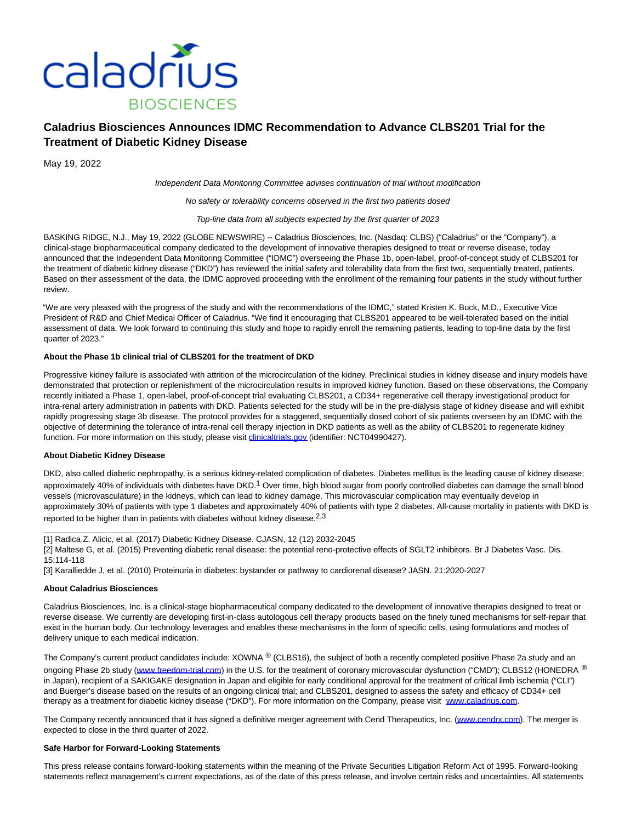

# **Caladrius Biosciences Announces IDMC Recommendation to Advance CLBS201 Trial for the Treatment of Diabetic Kidney Disease**

May 19, 2022

Independent Data Monitoring Committee advises continuation of trial without modification

No safety or tolerability concerns observed in the first two patients dosed

Top-line data from all subjects expected by the first quarter of 2023

BASKING RIDGE, N.J., May 19, 2022 (GLOBE NEWSWIRE) -- Caladrius Biosciences, Inc. (Nasdaq: CLBS) ("Caladrius" or the "Company"), a clinical-stage biopharmaceutical company dedicated to the development of innovative therapies designed to treat or reverse disease, today announced that the Independent Data Monitoring Committee ("IDMC") overseeing the Phase 1b, open-label, proof-of-concept study of CLBS201 for the treatment of diabetic kidney disease ("DKD") has reviewed the initial safety and tolerability data from the first two, sequentially treated, patients. Based on their assessment of the data, the IDMC approved proceeding with the enrollment of the remaining four patients in the study without further review.

"We are very pleased with the progress of the study and with the recommendations of the IDMC," stated Kristen K. Buck, M.D., Executive Vice President of R&D and Chief Medical Officer of Caladrius. "We find it encouraging that CLBS201 appeared to be well-tolerated based on the initial assessment of data. We look forward to continuing this study and hope to rapidly enroll the remaining patients, leading to top-line data by the first quarter of 2023."

## **About the Phase 1b clinical trial of CLBS201 for the treatment of DKD**

Progressive kidney failure is associated with attrition of the microcirculation of the kidney. Preclinical studies in kidney disease and injury models have demonstrated that protection or replenishment of the microcirculation results in improved kidney function. Based on these observations, the Company recently initiated a Phase 1, open-label, proof-of-concept trial evaluating CLBS201, a CD34+ regenerative cell therapy investigational product for intra-renal artery administration in patients with DKD. Patients selected for the study will be in the pre-dialysis stage of kidney disease and will exhibit rapidly progressing stage 3b disease. The protocol provides for a staggered, sequentially dosed cohort of six patients overseen by an IDMC with the objective of determining the tolerance of intra-renal cell therapy injection in DKD patients as well as the ability of CLBS201 to regenerate kidney function. For more information on this study, please visit [clinicaltrials.gov \(](https://www.globenewswire.com/Tracker?data=9mKOrseL2qZd1ZWzeVrMp_Z56woX9e8FxbE0pdWdKrVpwTJCRY4e3GYWur-_My1tOqcybK1opds_I7e-YMNSDjL0rmsUhtiapW3ljaX372MBdd2hcySu8PxtYzEHOHXV)identifier: NCT04990427).

### **About Diabetic Kidney Disease**

DKD, also called diabetic nephropathy, is a serious kidney-related complication of diabetes. Diabetes mellitus is the leading cause of kidney disease; approximately 40% of individuals with diabetes have DKD.<sup>1</sup> Over time, high blood sugar from poorly controlled diabetes can damage the small blood vessels (microvasculature) in the kidneys, which can lead to kidney damage. This microvascular complication may eventually develop in approximately 30% of patients with type 1 diabetes and approximately 40% of patients with type 2 diabetes. All-cause mortality in patients with DKD is reported to be higher than in patients with diabetes without kidney disease.<sup>2,3</sup>

[1] Radica Z. Alicic, et al. (2017) Diabetic Kidney Disease. CJASN, 12 (12) 2032-2045

[2] Maltese G, et al. (2015) Preventing diabetic renal disease: the potential reno-protective effects of SGLT2 inhibitors. Br J Diabetes Vasc. Dis. 15:114-118

[3] Karalliedde J, et al. (2010) Proteinuria in diabetes: bystander or pathway to cardiorenal disease? JASN. 21:2020-2027

#### **About Caladrius Biosciences**

 $\_$ 

Caladrius Biosciences, Inc. is a clinical-stage biopharmaceutical company dedicated to the development of innovative therapies designed to treat or reverse disease. We currently are developing first-in-class autologous cell therapy products based on the finely tuned mechanisms for self-repair that exist in the human body. Our technology leverages and enables these mechanisms in the form of specific cells, using formulations and modes of delivery unique to each medical indication.

The Company's current product candidates include: XOWNA ® (CLBS16), the subject of both a recently completed positive Phase 2a study and an ongoing Phase 2b study [\(www.freedom-trial.com\)](https://www.globenewswire.com/Tracker?data=IciZliLp2AN3M6EiV8ZTUbMlvEDGofHULlCUmGiqE3nAVXPuA4r-Ec9KNs5cf7LGpI45XBLIqvh3uwm5WWY1Y3331fuFXYZEMMkp6oi47FU=) in the U.S. for the treatment of coronary microvascular dysfunction ("CMD"); CLBS12 (HONEDRA ® in Japan), recipient of a SAKIGAKE designation in Japan and eligible for early conditional approval for the treatment of critical limb ischemia ("CLI") and Buerger's disease based on the results of an ongoing clinical trial; and CLBS201, designed to assess the safety and efficacy of CD34+ cell therapy as a treatment for diabetic kidney disease ("DKD"). For more information on the Company, please visit [www.caladrius.com.](https://www.globenewswire.com/Tracker?data=3hH-h0etXbIQMHxRkpNaqxi39-tismB8jbHLfVoSG5My1pZb34gkSU_U0Ul5K4G0AVMIQw3okyXjKdGRkKAyaA==)

The Company recently announced that it has signed a definitive merger agreement with Cend Therapeutics, Inc. [\(www.cendrx.com\).](https://www.globenewswire.com/Tracker?data=UQRjChBT0CcrSt_DBowAnAPCg_01u7NUkaw5XfK_GsUp9L258WiB-VsuHwxvGAhQrBhmZ3_dxLARHUOto6cDMA==) The merger is expected to close in the third quarter of 2022.

#### **Safe Harbor for Forward-Looking Statements**

This press release contains forward-looking statements within the meaning of the Private Securities Litigation Reform Act of 1995. Forward-looking statements reflect management's current expectations, as of the date of this press release, and involve certain risks and uncertainties. All statements